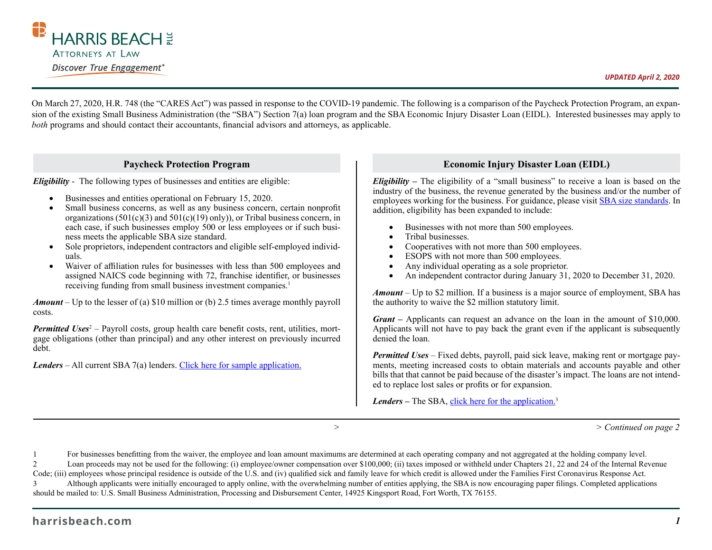

On March 27, 2020, H.R. 748 (the "CARES Act") was passed in response to the COVID-19 pandemic. The following is a comparison of the Paycheck Protection Program, an expansion of the existing Small Business Administration (the "SBA") Section 7(a) loan program and the SBA Economic Injury Disaster Loan (EIDL). Interested businesses may apply to *both* programs and should contact their accountants, financial advisors and attorneys, as applicable.

## **Paycheck Protection Program**

*Eligibility* - The following types of businesses and entities are eligible:

- Businesses and entities operational on February 15, 2020.
- Small business concerns, as well as any business concern, certain nonprofit organizations (501(c)(3) and 501(c)(19) only)), or Tribal business concern, in each case, if such businesses employ 500 or less employees or if such business meets the applicable SBA size standard.
- Sole proprietors, independent contractors and eligible self-employed individuals.
- Waiver of affiliation rules for businesses with less than 500 employees and assigned NAICS code beginning with 72, franchise identifier, or businesses receiving funding from small business investment companies.<sup>1</sup>

*Amount* – Up to the lesser of (a) \$10 million or (b) 2.5 times average monthly payroll costs.

Permitted Uses<sup>2</sup> - Payroll costs, group health care benefit costs, rent, utilities, mortgage obligations (other than principal) and any other interest on previously incurred debt.

*Lenders* – All current SBA 7(a) lenders. Click here for sample application.

## **Economic Injury Disaster Loan (EIDL)**

*Eligibility –* The eligibility of a "small business" to receive a loan is based on the industry of the business, the revenue generated by the business and/or the number of employees working for the business. For guidance, please visit SBA size standards. In addition, eligibility has been expanded to include:

- Businesses with not more than 500 employees.
- Tribal businesses.
- Cooperatives with not more than 500 employees.
- ESOPS with not more than 500 employees.
- Any individual operating as a sole proprietor.
- An independent contractor during January 31, 2020 to December 31, 2020.

*Amount* – Up to \$2 million. If a business is a major source of employment, SBA has the authority to waive the \$2 million statutory limit.

*Grant –* Applicants can request an advance on the loan in the amount of \$10,000. Applicants will not have to pay back the grant even if the applicant is subsequently denied the loan.

*Permitted Uses* – Fixed debts, payroll, paid sick leave, making rent or mortgage payments, meeting increased costs to obtain materials and accounts payable and other bills that that cannot be paid because of the disaster's impact. The loans are not intended to replace lost sales or profits or for expansion.

*Lenders* – The SBA, click here for the application.<sup>3</sup>

 *> > Continued on page 2*

1 For businesses benefitting from the waiver, the employee and loan amount maximums are determined at each operating company and not aggregated at the holding company level.

2 Loan proceeds may not be used for the following: (i) employee/owner compensation over \$100,000; (ii) taxes imposed or withheld under Chapters 21, 22 and 24 of the Internal Revenue

Code; (iii) employees whose principal residence is outside of the U.S. and (iv) qualified sick and family leave for which credit is allowed under the Families First Coronavirus Response Act. 3 Although applicants were initially encouraged to apply online, with the overwhelming number of entities applying, the SBA is now encouraging paper filings. Completed applications should be mailed to: U.S. Small Business Administration, Processing and Disbursement Center, 14925 Kingsport Road, Fort Worth, TX 76155.